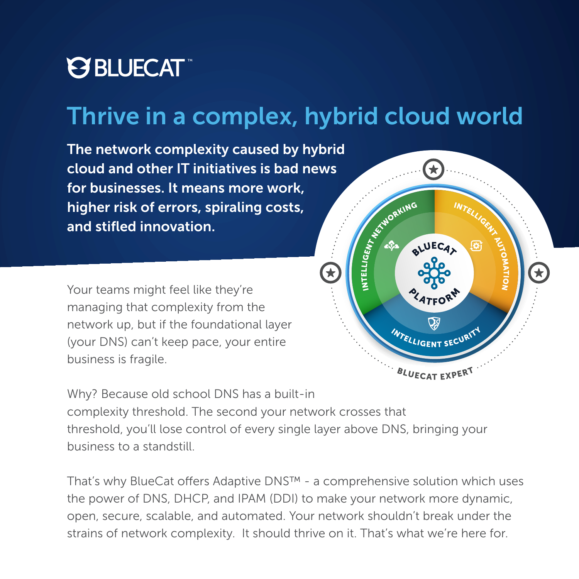

### Thrive in a complex, hybrid cloud world

The network complexity caused by hybrid cloud and other IT initiatives is bad news for businesses. It means more work, higher risk of errors, spiraling costs, and stifled innovation.

Your teams might feel like they're managing that complexity from the network up, but if the foundational layer (your DNS) can't keep pace, your entire business is fragile.



Why? Because old school DNS has a built-in

complexity threshold. The second your network crosses that threshold, you'll lose control of every single layer above DNS, bringing your business to a standstill.

That's why BlueCat offers Adaptive DNS™ - a comprehensive solution which uses the power of DNS, DHCP, and IPAM (DDI) to make your network more dynamic, open, secure, scalable, and automated. Your network shouldn't break under the strains of network complexity. It should thrive on it. That's what we're here for.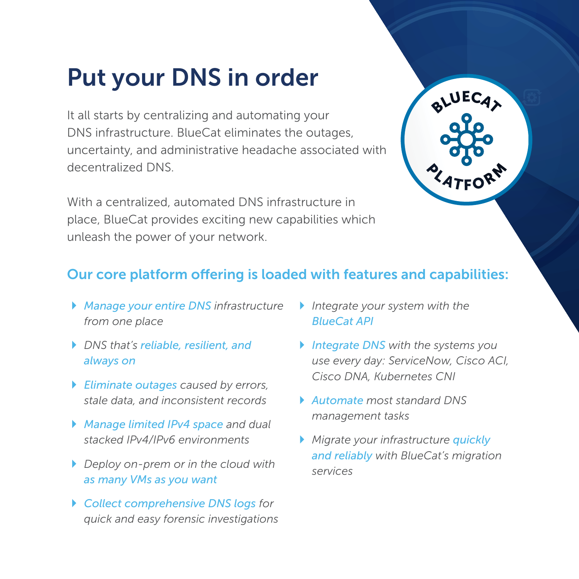# Put your DNS in order

It all starts by centralizing and automating your DNS infrastructure. BlueCat eliminates the outages, uncertainty, and administrative headache associated with decentralized DNS.

With a centralized, automated DNS infrastructure in place, BlueCat provides exciting new capabilities which unleash the power of your network.



### Our core platform offering is loaded with features and capabilities:

- ` *Manage your entire DNS infrastructure from one place*
- ` *DNS that's reliable, resilient, and always on*
- ` *Eliminate outages caused by errors, stale data, and inconsistent records*
- ` *Manage limited IPv4 space and dual stacked IPv4/IPv6 environments*
- ` *Deploy on-prem or in the cloud with as many VMs as you want*
- ` *Collect comprehensive DNS logs for quick and easy forensic investigations*
- ` *Integrate your system with the BlueCat API*
- ` *Integrate DNS with the systems you use every day: ServiceNow, Cisco ACI, Cisco DNA, Kubernetes CNI*
- ` *Automate most standard DNS management tasks*
- ` *Migrate your infrastructure quickly and reliably with BlueCat's migration services*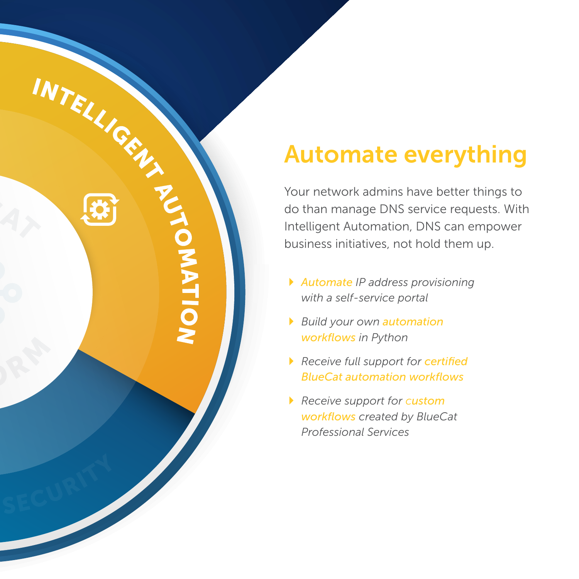# Automate everything

Your network admins have better things to do than manage DNS service requests. With Intelligent Automation, DNS can empower business initiatives, not hold them up.

- ` *Automate IP address provisioning with a self-service portal*
- ` *Build your own automation workflows in Python*

INTELLIGEN

**TOMATION** 

- ` *Receive full support for certified BlueCat automation workflows*
- ` *Receive support for custom workflows created by BlueCat Professional Services*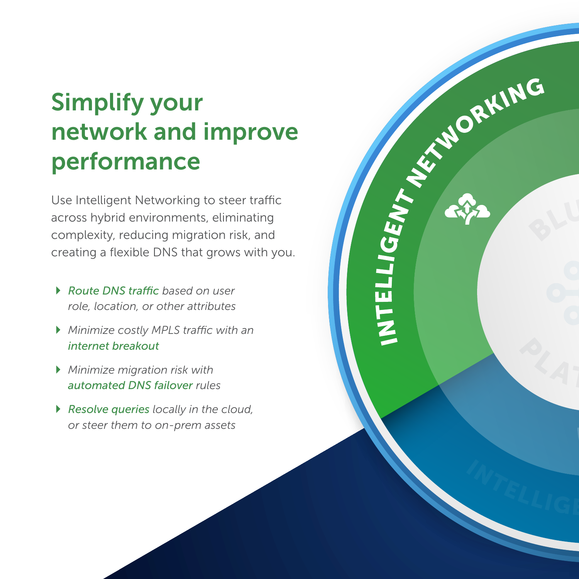# Simplify your network and improve performance

LIGENT NEWS ORKING

LIEL

Use Intelligent Networking to steer traffic across hybrid environments, eliminating complexity, reducing migration risk, and creating a flexible DNS that grows with you.

- ` *Route DNS traffic based on user role, location, or other attributes*
- ` *Minimize costly MPLS traffic with an internet breakout*
- ` *Minimize migration risk with automated DNS failover rules*
- ` *Resolve queries locally in the cloud, or steer them to on-prem assets*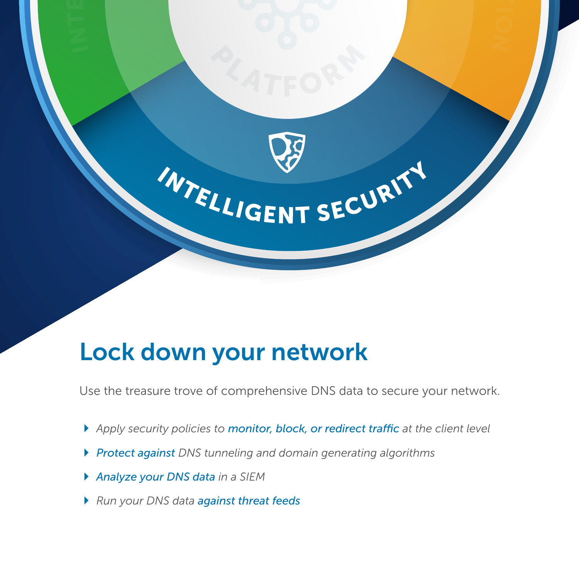

### Lock down your network

Use the treasure trove of comprehensive DNS data to secure your network.

- ` *Apply security policies to monitor, block, or redirect traffic at the client level*
- ` *Protect against DNS tunneling and domain generating algorithms*
- ` *Analyze your DNS data in a SIEM*
- ` *Run your DNS data against threat feeds*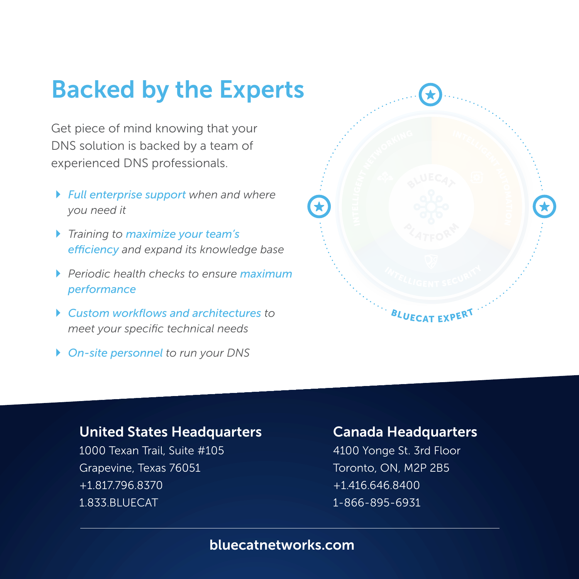# Backed by the Experts

Get piece of mind knowing that your DNS solution is backed by a team of experienced DNS professionals.

- ` *Full enterprise support when and where you need it*
- ` *Training to maximize your team's efficiency and expand its knowledge base*
- ` *Periodic health checks to ensure maximum performance*
- ` *Custom workflows and architectures to meet your specific technical needs*
- ` *On-site personnel to run your DNS*



#### United States Headquarters

1000 Texan Trail, Suite #105 Grapevine, Texas 76051 +1.817.796.8370 1.833.BLUECAT

#### Canada Headquarters

4100 Yonge St. 3rd Floor Toronto, ON, M2P 2B5 +1.416.646.8400 1-866-895-6931